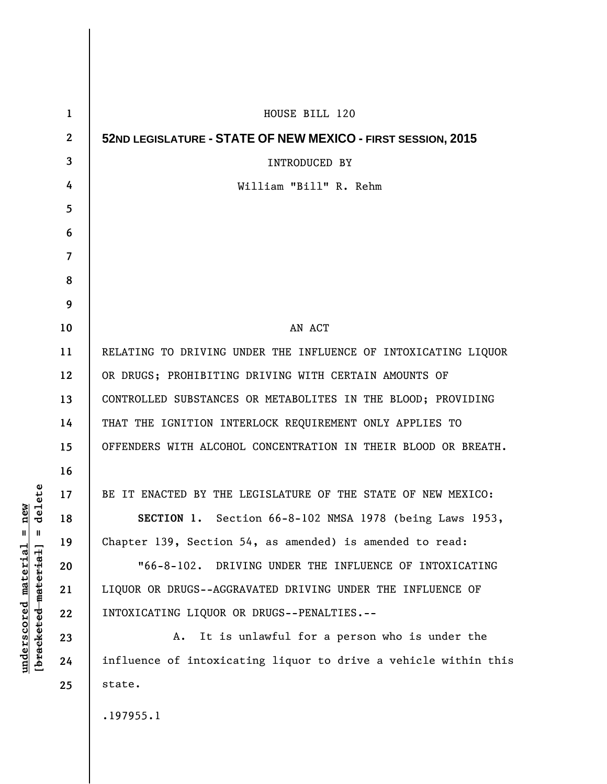| 1                | HOUSE BILL 120                                                  |
|------------------|-----------------------------------------------------------------|
| $\boldsymbol{2}$ | 52ND LEGISLATURE - STATE OF NEW MEXICO - FIRST SESSION, 2015    |
| 3                | <b>INTRODUCED BY</b>                                            |
| 4                | William "Bill" R. Rehm                                          |
| 5                |                                                                 |
| 6                |                                                                 |
| 7                |                                                                 |
| 8                |                                                                 |
| 9                |                                                                 |
| 10               | AN ACT                                                          |
| 11               | RELATING TO DRIVING UNDER THE INFLUENCE OF INTOXICATING LIQUOR  |
| 12               | OR DRUGS; PROHIBITING DRIVING WITH CERTAIN AMOUNTS OF           |
| 13               | CONTROLLED SUBSTANCES OR METABOLITES IN THE BLOOD; PROVIDING    |
| 14               | THAT THE IGNITION INTERLOCK REQUIREMENT ONLY APPLIES TO         |
| 15               | OFFENDERS WITH ALCOHOL CONCENTRATION IN THEIR BLOOD OR BREATH.  |
| 16               |                                                                 |
| 17               | BE IT ENACTED BY THE LEGISLATURE OF THE STATE OF NEW MEXICO:    |
| 18               | SECTION 1. Section 66-8-102 NMSA 1978 (being Laws 1953,         |
| 19               | Chapter 139, Section 54, as amended) is amended to read:        |
| 20               | "66-8-102. DRIVING UNDER THE INFLUENCE OF INTOXICATING          |
| 21               | LIQUOR OR DRUGS--AGGRAVATED DRIVING UNDER THE INFLUENCE OF      |
| 22               | INTOXICATING LIQUOR OR DRUGS--PENALTIES.--                      |
| 23               | It is unlawful for a person who is under the<br>A.              |
| 24               | influence of intoxicating liquor to drive a vehicle within this |
| 25               | state.                                                          |
|                  | .197955.1                                                       |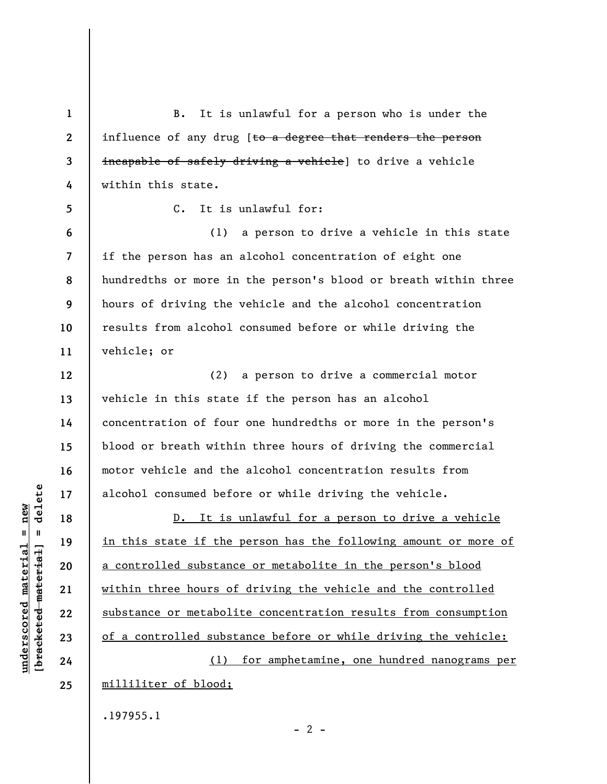**1 2 3 4 5 6 7 8 9 10 11 12 13 14 15 16 17 18 19 20 21 22 23 24 25**  B. It is unlawful for a person who is under the influence of any drug [to a degree that renders the person incapable of safely driving a vehicle] to drive a vehicle within this state. C. It is unlawful for: (1) a person to drive a vehicle in this state if the person has an alcohol concentration of eight one hundredths or more in the person's blood or breath within three hours of driving the vehicle and the alcohol concentration results from alcohol consumed before or while driving the vehicle; or (2) a person to drive a commercial motor vehicle in this state if the person has an alcohol concentration of four one hundredths or more in the person's blood or breath within three hours of driving the commercial motor vehicle and the alcohol concentration results from alcohol consumed before or while driving the vehicle. D. It is unlawful for a person to drive a vehicle in this state if the person has the following amount or more of a controlled substance or metabolite in the person's blood within three hours of driving the vehicle and the controlled substance or metabolite concentration results from consumption of a controlled substance before or while driving the vehicle: (1) for amphetamine, one hundred nanograms per milliliter of blood; .197955.1

 $\frac{1}{2}$  of  $\frac{1}{2}$  and  $\frac{1}{2}$  and  $\frac{1}{2}$  and  $\frac{1}{2}$  and  $\frac{1}{2}$  and  $\frac{1}{2}$  and  $\frac{1}{2}$  and  $\frac{1}{2}$  and  $\frac{1}{2}$  and  $\frac{1}{2}$  and  $\frac{1}{2}$  and  $\frac{1}{2}$  and  $\frac{1}{2}$  and  $\frac{1}{2}$  and  $\frac{1}{2}$  an **[bracketed material] = delete**  $underscored material = new$ **underscored material = new**

 $- 2 -$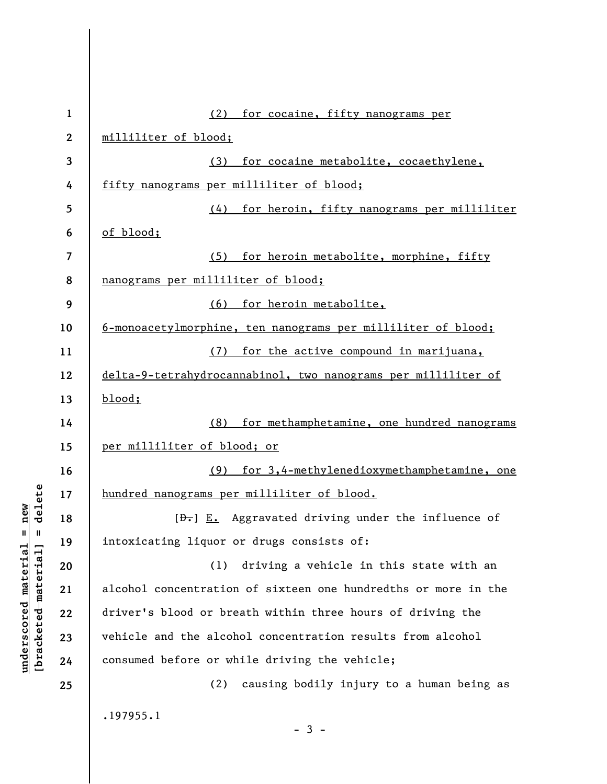| $\mathbf{1}$     | (2) for cocaine, fifty nanograms per                                      |
|------------------|---------------------------------------------------------------------------|
| $\boldsymbol{2}$ | milliliter of blood;                                                      |
| 3                | for cocaine metabolite, cocaethylene,<br>(3)                              |
| 4                | fifty nanograms per milliliter of blood;                                  |
| 5                | for heroin, fifty nanograms per milliliter<br>(4)                         |
| 6                | of blood;                                                                 |
| 7                | for heroin metabolite, morphine, fifty<br>(5)                             |
| 8                | nanograms per milliliter of blood;                                        |
| 9                | (6) for heroin metabolite,                                                |
| 10               | 6-monoacetylmorphine, ten nanograms per milliliter of blood;              |
| 11               | for the active compound in marijuana,<br>(7)                              |
| 12               | delta-9-tetrahydrocannabinol, two nanograms per milliliter of             |
| 13               | $blood$ ;                                                                 |
| 14               | (8)<br>for methamphetamine, one hundred nanograms                         |
| 15               | per milliliter of blood; or                                               |
| 16               | for 3,4-methylenedioxymethamphetamine, one<br>(9)                         |
| 17               | hundred nanograms per milliliter of blood.                                |
| 18               | $[\frac{b}{c}, \frac{c}{c}]$ E. Aggravated driving under the influence of |
| 19               | intoxicating liquor or drugs consists of:                                 |
| 20               | driving a vehicle in this state with an<br>(1)                            |
| 21               | alcohol concentration of sixteen one hundredths or more in the            |
| 22               | driver's blood or breath within three hours of driving the                |
| 23               | vehicle and the alcohol concentration results from alcohol                |
| 24               | consumed before or while driving the vehicle;                             |
| 25               | causing bodily injury to a human being as<br>(2)                          |
|                  | .197955.1<br>$-3 -$                                                       |

**underscored material = new [bracketed material] = delete**

 $[**bracket eted metert et**] = **del et e**$  $underscored material = new$ 

 $\overline{\phantom{a}}$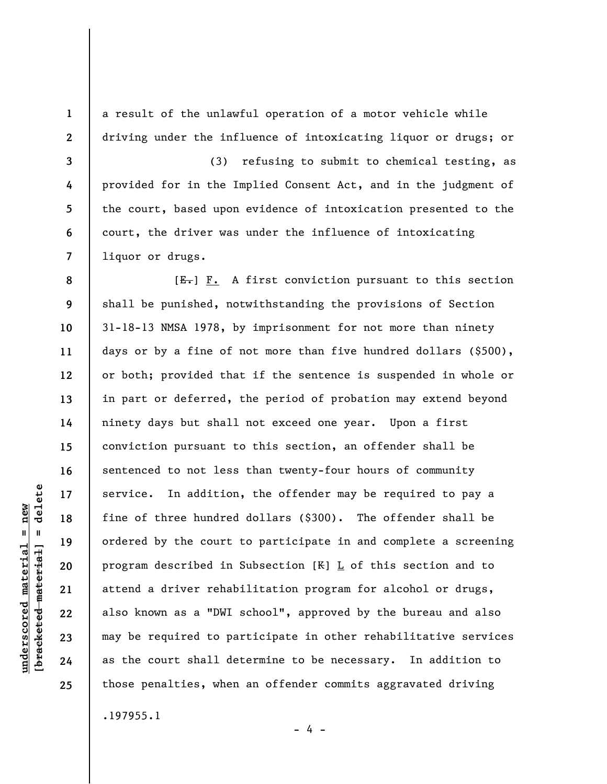a result of the unlawful operation of a motor vehicle while driving under the influence of intoxicating liquor or drugs; or

(3) refusing to submit to chemical testing, as provided for in the Implied Consent Act, and in the judgment of the court, based upon evidence of intoxication presented to the court, the driver was under the influence of intoxicating liquor or drugs.

 $[E_{\bullet}]$  F. A first conviction pursuant to this section shall be punished, notwithstanding the provisions of Section 31-18-13 NMSA 1978, by imprisonment for not more than ninety days or by a fine of not more than five hundred dollars (\$500), or both; provided that if the sentence is suspended in whole or in part or deferred, the period of probation may extend beyond ninety days but shall not exceed one year. Upon a first conviction pursuant to this section, an offender shall be sentenced to not less than twenty-four hours of community service. In addition, the offender may be required to pay a fine of three hundred dollars (\$300). The offender shall be ordered by the court to participate in and complete a screening program described in Subsection  $[K]$   $L$  of this section and to attend a driver rehabilitation program for alcohol or drugs, also known as a "DWI school", approved by the bureau and also may be required to participate in other rehabilitative services as the court shall determine to be necessary. In addition to those penalties, when an offender commits aggravated driving

.197955.1

delete **[bracketed material] = delete**  $underscored material = new$ **underscored material = new**  $\frac{1}{2}$  = [44-beted material]

**1** 

**2** 

**3** 

**4** 

**5** 

**6** 

**7** 

**8** 

**9** 

**10** 

**11** 

**12** 

**13** 

**14** 

**15** 

**16** 

**17** 

**18** 

**19** 

**20** 

**21** 

**22** 

**23** 

**24** 

**25** 

- 4 -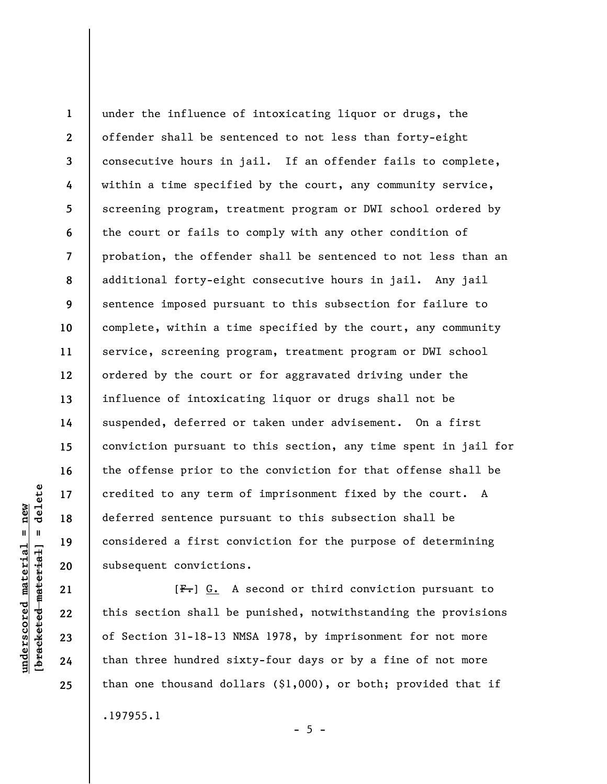**1 2 3 4 5 6 7 8 9 10 11 12 13 14 15 16 17 18 19 20**  under the influence of intoxicating liquor or drugs, the offender shall be sentenced to not less than forty-eight consecutive hours in jail. If an offender fails to complete, within a time specified by the court, any community service, screening program, treatment program or DWI school ordered by the court or fails to comply with any other condition of probation, the offender shall be sentenced to not less than an additional forty-eight consecutive hours in jail. Any jail sentence imposed pursuant to this subsection for failure to complete, within a time specified by the court, any community service, screening program, treatment program or DWI school ordered by the court or for aggravated driving under the influence of intoxicating liquor or drugs shall not be suspended, deferred or taken under advisement. On a first conviction pursuant to this section, any time spent in jail for the offense prior to the conviction for that offense shall be credited to any term of imprisonment fixed by the court. A deferred sentence pursuant to this subsection shall be considered a first conviction for the purpose of determining subsequent convictions.

 $[F-]$  G. A second or third conviction pursuant to this section shall be punished, notwithstanding the provisions of Section 31-18-13 NMSA 1978, by imprisonment for not more than three hundred sixty-four days or by a fine of not more than one thousand dollars (\$1,000), or both; provided that if .197955.1

 $\frac{1}{2}$  intereted material = delete **[bracketed material] = delete**  $underscored material = new$ **underscored material = new**

**21** 

**22** 

**23** 

**24** 

**25** 

 $- 5 -$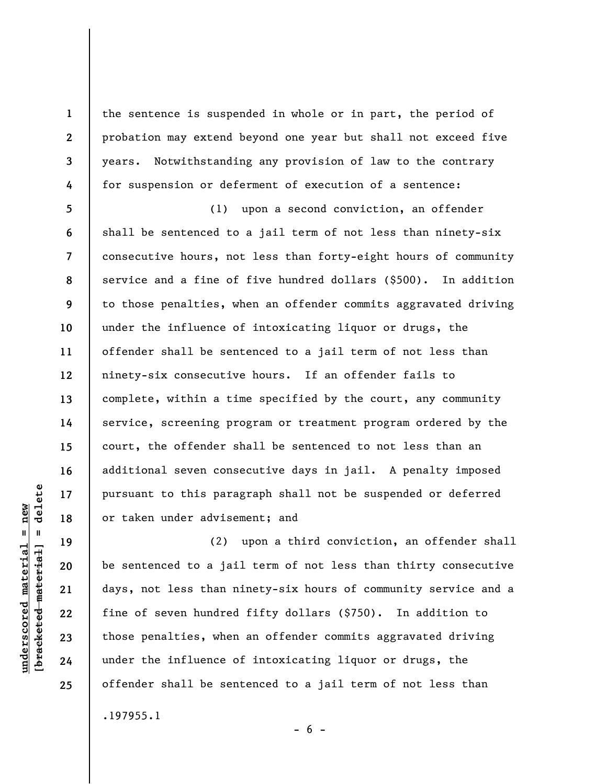the sentence is suspended in whole or in part, the period of probation may extend beyond one year but shall not exceed five years. Notwithstanding any provision of law to the contrary for suspension or deferment of execution of a sentence:

**5 6 7 8 9 10 11 12 13 14 15 16 17 18**  (1) upon a second conviction, an offender shall be sentenced to a jail term of not less than ninety-six consecutive hours, not less than forty-eight hours of community service and a fine of five hundred dollars (\$500). In addition to those penalties, when an offender commits aggravated driving under the influence of intoxicating liquor or drugs, the offender shall be sentenced to a jail term of not less than ninety-six consecutive hours. If an offender fails to complete, within a time specified by the court, any community service, screening program or treatment program ordered by the court, the offender shall be sentenced to not less than an additional seven consecutive days in jail. A penalty imposed pursuant to this paragraph shall not be suspended or deferred or taken under advisement; and

(2) upon a third conviction, an offender shall be sentenced to a jail term of not less than thirty consecutive days, not less than ninety-six hours of community service and a fine of seven hundred fifty dollars (\$750). In addition to those penalties, when an offender commits aggravated driving under the influence of intoxicating liquor or drugs, the offender shall be sentenced to a jail term of not less than .197955.1

 $\frac{1}{2}$  of  $\frac{1}{2}$  and  $\frac{1}{2}$  and  $\frac{1}{2}$  and  $\frac{1}{2}$  and  $\frac{1}{2}$  and  $\frac{1}{2}$  and  $\frac{1}{2}$  and  $\frac{1}{2}$  and  $\frac{1}{2}$  and  $\frac{1}{2}$  and  $\frac{1}{2}$  and  $\frac{1}{2}$  and  $\frac{1}{2}$  and  $\frac{1}{2}$  and  $\frac{1}{2}$  an **[bracketed material] = delete**  $underscored material = new$ **underscored material = new**

**19** 

**20** 

**21** 

**22** 

**23** 

**24** 

**25** 

**1** 

**2** 

**3** 

**4** 

 $- 6 -$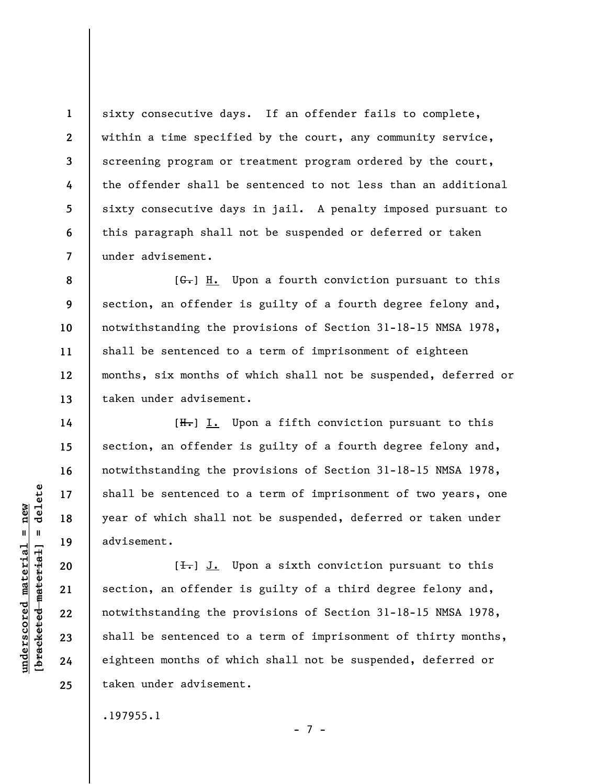sixty consecutive days. If an offender fails to complete, within a time specified by the court, any community service, screening program or treatment program ordered by the court, the offender shall be sentenced to not less than an additional sixty consecutive days in jail. A penalty imposed pursuant to this paragraph shall not be suspended or deferred or taken under advisement.

**8 9 10 11 12 13**   $[G<sub>r</sub>]$  H. Upon a fourth conviction pursuant to this section, an offender is guilty of a fourth degree felony and, notwithstanding the provisions of Section 31-18-15 NMSA 1978, shall be sentenced to a term of imprisonment of eighteen months, six months of which shall not be suspended, deferred or taken under advisement.

 $[H<sub>1</sub>]$  I. Upon a fifth conviction pursuant to this section, an offender is guilty of a fourth degree felony and, notwithstanding the provisions of Section 31-18-15 NMSA 1978, shall be sentenced to a term of imprisonment of two years, one year of which shall not be suspended, deferred or taken under advisement.

 $[\frac{1}{\sqrt{1}}]$  J. Upon a sixth conviction pursuant to this section, an offender is guilty of a third degree felony and, notwithstanding the provisions of Section 31-18-15 NMSA 1978, shall be sentenced to a term of imprisonment of thirty months, eighteen months of which shall not be suspended, deferred or taken under advisement.

- 7 -

.197955.1

 $\frac{1}{2}$  intereted material = delete **[bracketed material] = delete**  $underscored material = new$ **underscored material = new**

**1** 

**2** 

**3** 

**4** 

**5** 

**6** 

**7** 

**14** 

**15** 

**16** 

**17** 

**18** 

**19** 

**20** 

**21** 

**22** 

**23** 

**24**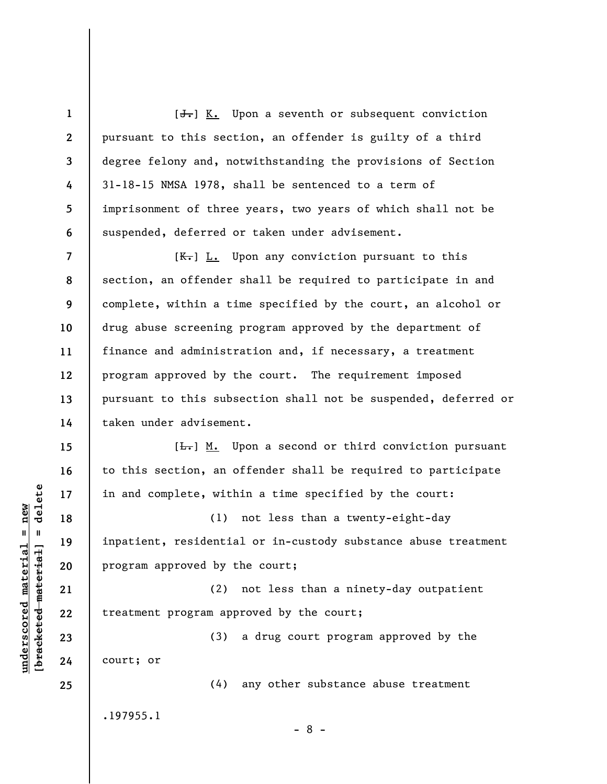$[\frac{1}{\sqrt{1}}]$  K. Upon a seventh or subsequent conviction pursuant to this section, an offender is guilty of a third degree felony and, notwithstanding the provisions of Section 31-18-15 NMSA 1978, shall be sentenced to a term of imprisonment of three years, two years of which shall not be suspended, deferred or taken under advisement.

**8**   $[K-]$   $L.$  Upon any conviction pursuant to this section, an offender shall be required to participate in and complete, within a time specified by the court, an alcohol or drug abuse screening program approved by the department of finance and administration and, if necessary, a treatment program approved by the court. The requirement imposed pursuant to this subsection shall not be suspended, deferred or taken under advisement.

 $[\frac{L}{\sqrt{L}}]$  M. Upon a second or third conviction pursuant to this section, an offender shall be required to participate in and complete, within a time specified by the court:

(1) not less than a twenty-eight-day inpatient, residential or in-custody substance abuse treatment program approved by the court;

(2) not less than a ninety-day outpatient treatment program approved by the court;

(3) a drug court program approved by the court; or

(4) any other substance abuse treatment

- 8 -

.197955.1

 $\frac{1}{2}$  of  $\frac{1}{2}$  and  $\frac{1}{2}$  and  $\frac{1}{2}$  and  $\frac{1}{2}$  and  $\frac{1}{2}$  and  $\frac{1}{2}$  and  $\frac{1}{2}$  and  $\frac{1}{2}$  and  $\frac{1}{2}$  and  $\frac{1}{2}$  and  $\frac{1}{2}$  and  $\frac{1}{2}$  and  $\frac{1}{2}$  and  $\frac{1}{2}$  and  $\frac{1}{2}$  an **[bracketed material] = delete**  $underscored material = new$ **underscored material = new**

**1** 

**2** 

**3** 

**4** 

**5** 

**6** 

**7** 

**9** 

**10** 

**11** 

**12** 

**13** 

**14** 

**15** 

**16** 

**17** 

**18** 

**19** 

**20** 

**21** 

**22** 

**23** 

**24**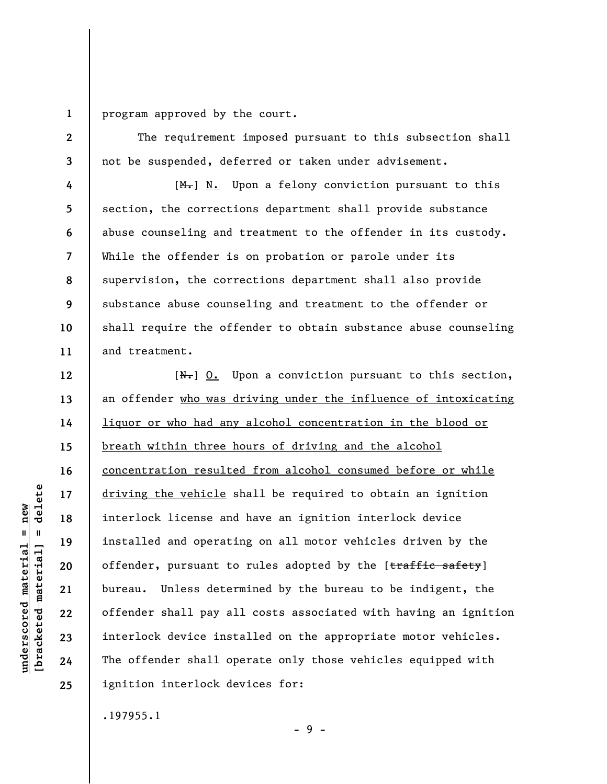**1** 

**2** 

**3** 

**4** 

**5** 

**6** 

**7** 

**8** 

**9** 

**10** 

**11** 

**12** 

**13** 

**14** 

**15** 

**16** 

**17** 

**18** 

**19** 

**20** 

**21** 

**22** 

**23** 

**24** 

**25** 

program approved by the court.

The requirement imposed pursuant to this subsection shall not be suspended, deferred or taken under advisement.

[M.] N. Upon a felony conviction pursuant to this section, the corrections department shall provide substance abuse counseling and treatment to the offender in its custody. While the offender is on probation or parole under its supervision, the corrections department shall also provide substance abuse counseling and treatment to the offender or shall require the offender to obtain substance abuse counseling and treatment.

 $[N_{\tau}]$  0. Upon a conviction pursuant to this section, an offender who was driving under the influence of intoxicating liquor or who had any alcohol concentration in the blood or breath within three hours of driving and the alcohol concentration resulted from alcohol consumed before or while driving the vehicle shall be required to obtain an ignition interlock license and have an ignition interlock device installed and operating on all motor vehicles driven by the offender, pursuant to rules adopted by the  $[traffic\;safety]$ bureau. Unless determined by the bureau to be indigent, the offender shall pay all costs associated with having an ignition interlock device installed on the appropriate motor vehicles. The offender shall operate only those vehicles equipped with ignition interlock devices for:

- 9 -

.197955.1

**underscored material = new [bracketed material] = delete**

 $underscored material = new$  $\frac{1}{2}$ 

delete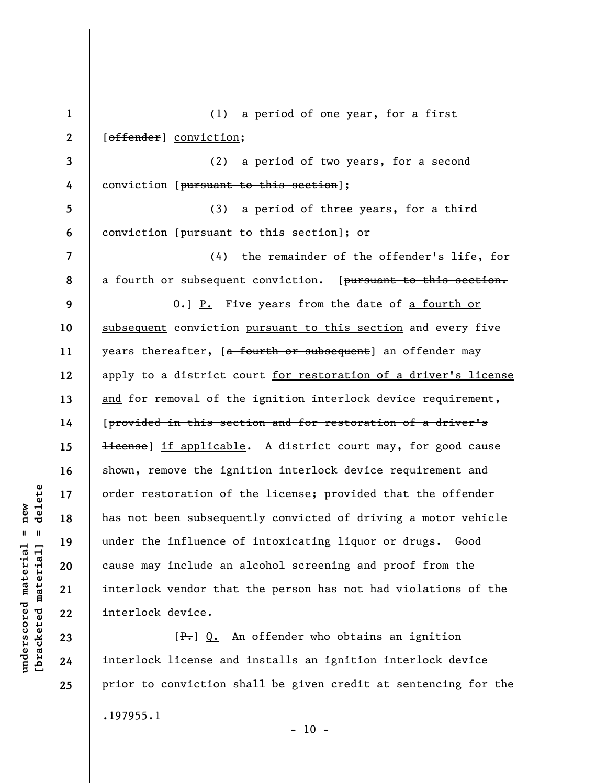**1 2 3 4 5 6 7 8 9 10 11 12 13 14 15 16 17 18 19 20 21 22 23**  (1) a period of one year, for a first [offender] conviction; (2) a period of two years, for a second conviction [pursuant to this section]; (3) a period of three years, for a third conviction [pursuant to this section]; or (4) the remainder of the offender's life, for a fourth or subsequent conviction. [pursuant to this section.  $\theta$ . P. Five years from the date of a fourth or subsequent conviction pursuant to this section and every five years thereafter, [a fourth or subsequent] an offender may apply to a district court for restoration of a driver's license and for removal of the ignition interlock device requirement, [provided in this section and for restoration of a driver's Hicense] if applicable. A district court may, for good cause shown, remove the ignition interlock device requirement and order restoration of the license; provided that the offender has not been subsequently convicted of driving a motor vehicle under the influence of intoxicating liquor or drugs. Good cause may include an alcohol screening and proof from the interlock vendor that the person has not had violations of the interlock device. [ $P_{\tau}$ ] Q. An offender who obtains an ignition

interlock license and installs an ignition interlock device prior to conviction shall be given credit at sentencing for the .197955.1  $-10 -$ 

 $\frac{1}{2}$  bracketed material = delete **[bracketed material] = delete**  $underscored material = new$ **underscored material = new**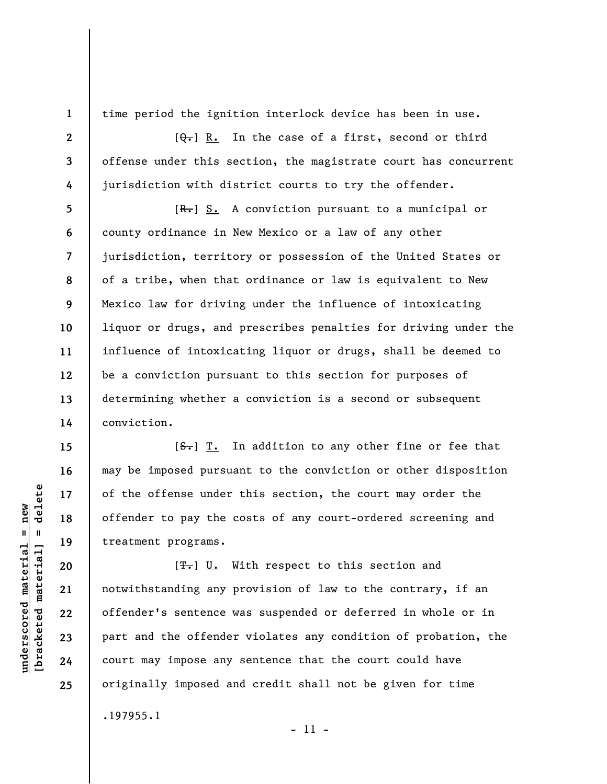**1 2** 

**3** 

**4** 

**5** 

**6** 

**7** 

**8** 

**9** 

**10** 

**11** 

**12** 

**13** 

**14** 

**15** 

**16** 

**17** 

**18** 

**19** 

**20** 

**21** 

**22** 

**23** 

**24** 

**25** 

time period the ignition interlock device has been in use.

 $[\theta_{\tau}]$  R. In the case of a first, second or third offense under this section, the magistrate court has concurrent jurisdiction with district courts to try the offender.

 $[R-]$  S. A conviction pursuant to a municipal or county ordinance in New Mexico or a law of any other jurisdiction, territory or possession of the United States or of a tribe, when that ordinance or law is equivalent to New Mexico law for driving under the influence of intoxicating liquor or drugs, and prescribes penalties for driving under the influence of intoxicating liquor or drugs, shall be deemed to be a conviction pursuant to this section for purposes of determining whether a conviction is a second or subsequent conviction.

 $[**S**$ . In addition to any other fine or fee that may be imposed pursuant to the conviction or other disposition of the offense under this section, the court may order the offender to pay the costs of any court-ordered screening and treatment programs.

 $[T<sub>1</sub>]$  U. With respect to this section and notwithstanding any provision of law to the contrary, if an offender's sentence was suspended or deferred in whole or in part and the offender violates any condition of probation, the court may impose any sentence that the court could have originally imposed and credit shall not be given for time .197955.1

- 11 -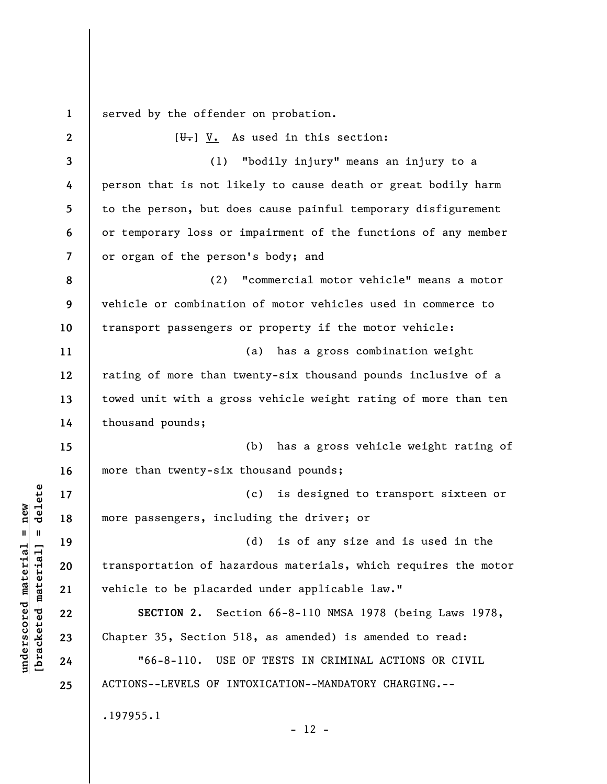**1**  served by the offender on probation.

**2 3 4 5 6 7 8 9 10 11 12 13 14 15 16 17 18 19 20 21 22 23 24 25**   $[\overline{\mathbf{U}}_{\bullet}]$  V. As used in this section: (1) "bodily injury" means an injury to a person that is not likely to cause death or great bodily harm to the person, but does cause painful temporary disfigurement or temporary loss or impairment of the functions of any member or organ of the person's body; and (2) "commercial motor vehicle" means a motor vehicle or combination of motor vehicles used in commerce to transport passengers or property if the motor vehicle: (a) has a gross combination weight rating of more than twenty-six thousand pounds inclusive of a towed unit with a gross vehicle weight rating of more than ten thousand pounds; (b) has a gross vehicle weight rating of more than twenty-six thousand pounds; (c) is designed to transport sixteen or more passengers, including the driver; or (d) is of any size and is used in the transportation of hazardous materials, which requires the motor vehicle to be placarded under applicable law." **SECTION 2.** Section 66-8-110 NMSA 1978 (being Laws 1978, Chapter 35, Section 518, as amended) is amended to read: "66-8-110. USE OF TESTS IN CRIMINAL ACTIONS OR CIVIL ACTIONS--LEVELS OF INTOXICATION--MANDATORY CHARGING.-- .197955.1  $- 12 -$ 

 $\frac{1}{2}$  intereted material = delete **[bracketed material] = delete**  $underscored material = new$ **underscored material = new**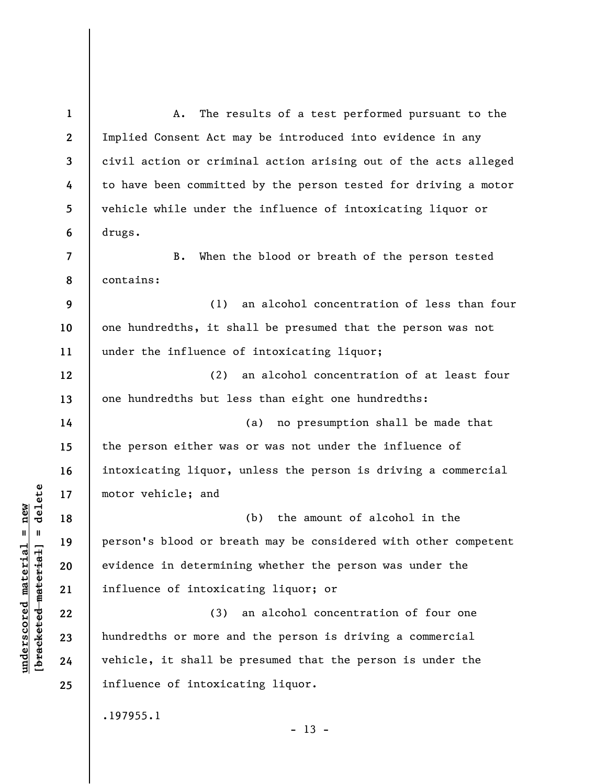**1 2 3 4 5 6 7 8 9 10 11 12 13 14 15 16 17 18 19 20 21 22 23 24 25**  A. The results of a test performed pursuant to the Implied Consent Act may be introduced into evidence in any civil action or criminal action arising out of the acts alleged to have been committed by the person tested for driving a motor vehicle while under the influence of intoxicating liquor or drugs. B. When the blood or breath of the person tested contains: (1) an alcohol concentration of less than four one hundredths, it shall be presumed that the person was not under the influence of intoxicating liquor; (2) an alcohol concentration of at least four one hundredths but less than eight one hundredths: (a) no presumption shall be made that the person either was or was not under the influence of intoxicating liquor, unless the person is driving a commercial motor vehicle; and (b) the amount of alcohol in the person's blood or breath may be considered with other competent evidence in determining whether the person was under the influence of intoxicating liquor; or (3) an alcohol concentration of four one hundredths or more and the person is driving a commercial vehicle, it shall be presumed that the person is under the influence of intoxicating liquor. .197955.1

 $\frac{1}{2}$  intereted material = delete **[bracketed material] = delete**  $underscored$  material = new **underscored material = new**

 $- 13 -$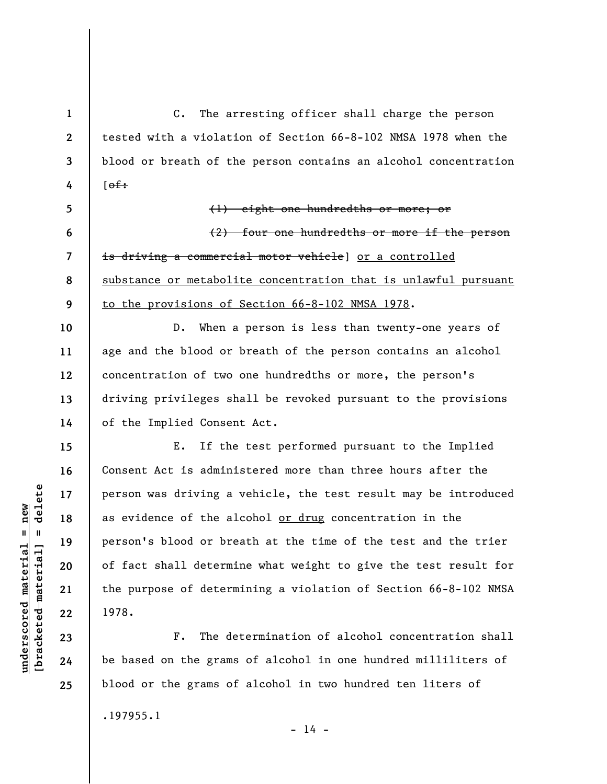C. The arresting officer shall charge the person tested with a violation of Section 66-8-102 NMSA 1978 when the blood or breath of the person contains an alcohol concentration  $[~~of~~$ : (1) eight one hundredths or more; or

(2) four one hundredths or more if the person is driving a commercial motor vehicle] or a controlled substance or metabolite concentration that is unlawful pursuant to the provisions of Section 66-8-102 NMSA 1978.

D. When a person is less than twenty-one years of age and the blood or breath of the person contains an alcohol concentration of two one hundredths or more, the person's driving privileges shall be revoked pursuant to the provisions of the Implied Consent Act.

E. If the test performed pursuant to the Implied Consent Act is administered more than three hours after the person was driving a vehicle, the test result may be introduced as evidence of the alcohol or drug concentration in the person's blood or breath at the time of the test and the trier of fact shall determine what weight to give the test result for the purpose of determining a violation of Section 66-8-102 NMSA 1978.

F. The determination of alcohol concentration shall be based on the grams of alcohol in one hundred milliliters of blood or the grams of alcohol in two hundred ten liters of

.197955.1

 $\frac{1}{2}$  intereted material = delete **[bracketed material] = delete** **1** 

**2** 

**3** 

**4** 

**5** 

**6** 

**7** 

**8** 

**9** 

**10** 

**11** 

**12** 

**13** 

**14** 

**15** 

**16** 

**17** 

**18** 

**19** 

**20** 

**21** 

**22** 

**23** 

**24** 

**25** 

**underscored material = new**

 $underscored material = new$ 

 $- 14 -$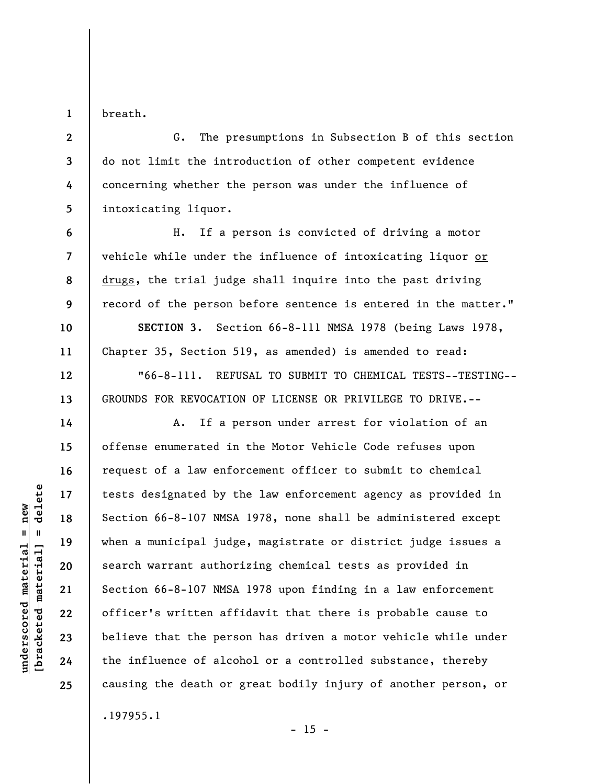breath.

**1** 

**6** 

**7** 

**8** 

**9** 

**10** 

**11** 

**12** 

**13** 

**14** 

**15** 

**16** 

**17** 

**18** 

**19** 

**20** 

**21** 

**22** 

**23** 

**24** 

**25** 

**2 3 4 5**  G. The presumptions in Subsection B of this section do not limit the introduction of other competent evidence concerning whether the person was under the influence of intoxicating liquor.

H. If a person is convicted of driving a motor vehicle while under the influence of intoxicating liquor or drugs, the trial judge shall inquire into the past driving record of the person before sentence is entered in the matter."

**SECTION 3.** Section 66-8-111 NMSA 1978 (being Laws 1978, Chapter 35, Section 519, as amended) is amended to read: "66-8-111. REFUSAL TO SUBMIT TO CHEMICAL TESTS--TESTING-- GROUNDS FOR REVOCATION OF LICENSE OR PRIVILEGE TO DRIVE.--

A. If a person under arrest for violation of an offense enumerated in the Motor Vehicle Code refuses upon request of a law enforcement officer to submit to chemical tests designated by the law enforcement agency as provided in Section 66-8-107 NMSA 1978, none shall be administered except when a municipal judge, magistrate or district judge issues a search warrant authorizing chemical tests as provided in Section 66-8-107 NMSA 1978 upon finding in a law enforcement officer's written affidavit that there is probable cause to believe that the person has driven a motor vehicle while under the influence of alcohol or a controlled substance, thereby causing the death or great bodily injury of another person, or .197955.1

 $\frac{1}{2}$  bracketed material = delete **[bracketed material] = delete**  $underscored material = new$ **underscored material = new**

 $- 15 -$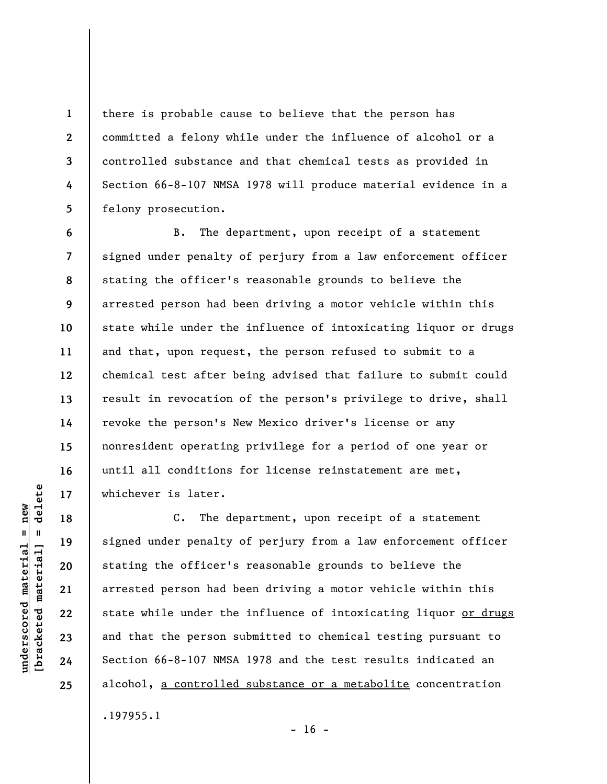there is probable cause to believe that the person has committed a felony while under the influence of alcohol or a controlled substance and that chemical tests as provided in Section 66-8-107 NMSA 1978 will produce material evidence in a felony prosecution.

B. The department, upon receipt of a statement signed under penalty of perjury from a law enforcement officer stating the officer's reasonable grounds to believe the arrested person had been driving a motor vehicle within this state while under the influence of intoxicating liquor or drugs and that, upon request, the person refused to submit to a chemical test after being advised that failure to submit could result in revocation of the person's privilege to drive, shall revoke the person's New Mexico driver's license or any nonresident operating privilege for a period of one year or until all conditions for license reinstatement are met, whichever is later.

C. The department, upon receipt of a statement signed under penalty of perjury from a law enforcement officer stating the officer's reasonable grounds to believe the arrested person had been driving a motor vehicle within this state while under the influence of intoxicating liquor or drugs and that the person submitted to chemical testing pursuant to Section 66-8-107 NMSA 1978 and the test results indicated an alcohol, a controlled substance or a metabolite concentration .197955.1

 $- 16 -$ 

 $\frac{1}{2}$  bracketed material = delete **[bracketed material] = delete**  $underscored material = new$ **underscored material = new**

**1** 

**2** 

**3** 

**4** 

**5** 

**6** 

**7** 

**8** 

**9** 

**10** 

**11** 

**12** 

**13** 

**14** 

**15** 

**16** 

**17** 

**18** 

**19** 

**20** 

**21** 

**22** 

**23** 

**24**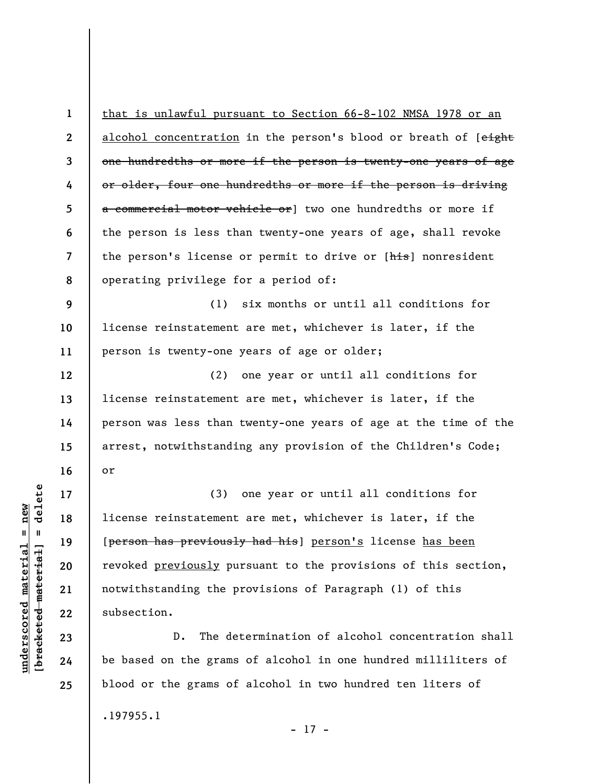| $\mathbf{1}$             | <u>that is unlawful pursuant to Section 66-8-102 NMSA 1978 or an</u> |
|--------------------------|----------------------------------------------------------------------|
| $\mathbf{2}$             | alcohol concentration in the person's blood or breath of [eight      |
| 3                        | one hundredths or more if the person is twenty-one years of age      |
| 4                        | or older, four one hundredths or more if the person is driving       |
| 5                        | a commercial motor vehicle or] two one hundredths or more if         |
| 6                        | the person is less than twenty-one years of age, shall revoke        |
| $\overline{\phantom{a}}$ | the person's license or permit to drive or [his] nonresident         |
| 8                        | operating privilege for a period of:                                 |
| 9                        | (1) six months or until all conditions for                           |
| 10                       | license reinstatement are met, whichever is later, if the            |
| 11                       | person is twenty-one years of age or older;                          |
| 12                       | (2) one year or until all conditions for                             |
| 13                       | license reinstatement are met, whichever is later, if the            |
| 14                       | person was less than twenty-one years of age at the time of the      |
| 15                       | arrest, notwithstanding any provision of the Children's Code;        |
| 16                       | or                                                                   |
| 17                       | (3) one year or until all conditions for                             |
| 18                       | license reinstatement are met, whichever is later, if the            |
| 19                       | [person has previously had his] person's license has been            |
| 20                       | revoked previously pursuant to the provisions of this section,       |
| 21                       | notwithstanding the provisions of Paragraph (1) of this              |
| 22                       | subsection.                                                          |
| 23                       | The determination of alcohol concentration shall<br>$D$ .            |
| 24                       | be based on the grams of alcohol in one hundred milliliters of       |

.197955.1

**underscored material = new [bracketed material] = delete**

 $[**bracketed**-**meterial**] = **delete**$  $underscored material = new$ 

**25** 

- 17 -

blood or the grams of alcohol in two hundred ten liters of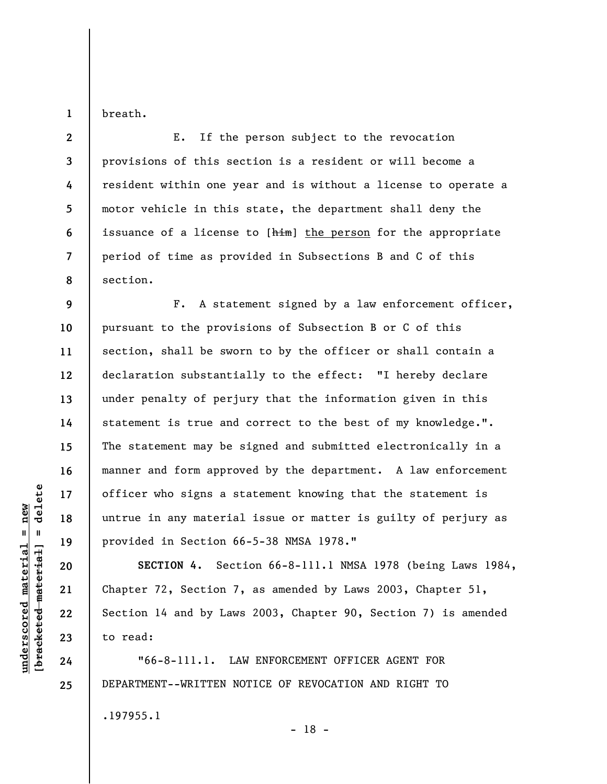**1**  breath.

**2 3 4 5 6 7 8**  E. If the person subject to the revocation provisions of this section is a resident or will become a resident within one year and is without a license to operate a motor vehicle in this state, the department shall deny the issuance of a license to [him] the person for the appropriate period of time as provided in Subsections B and C of this section.

**9 10 11 12 13 14 15 16 17 18 19**  F. A statement signed by a law enforcement officer, pursuant to the provisions of Subsection B or C of this section, shall be sworn to by the officer or shall contain a declaration substantially to the effect: "I hereby declare under penalty of perjury that the information given in this statement is true and correct to the best of my knowledge.". The statement may be signed and submitted electronically in a manner and form approved by the department. A law enforcement officer who signs a statement knowing that the statement is untrue in any material issue or matter is guilty of perjury as provided in Section 66-5-38 NMSA 1978."

**SECTION 4.** Section 66-8-111.1 NMSA 1978 (being Laws 1984, Chapter 72, Section 7, as amended by Laws 2003, Chapter 51, Section 14 and by Laws 2003, Chapter 90, Section 7) is amended to read:

"66-8-111.1. LAW ENFORCEMENT OFFICER AGENT FOR DEPARTMENT--WRITTEN NOTICE OF REVOCATION AND RIGHT TO .197955.1 - 18 -

 $\frac{1}{2}$  intereted material = delete **[bracketed material] = delete**  $underscored material = new$ **underscored material = new**

**20** 

**21** 

**22** 

**23** 

**24**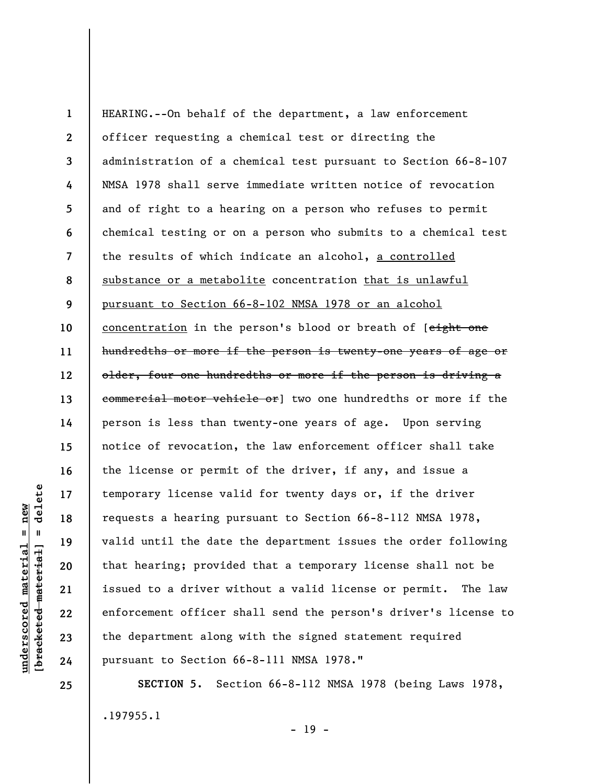**1 2 3 4 5 6 7 8 9 10 11 12 13 14 15 16 17 18 19 20 21 22 23 24**  HEARING.--On behalf of the department, a law enforcement officer requesting a chemical test or directing the administration of a chemical test pursuant to Section 66-8-107 NMSA 1978 shall serve immediate written notice of revocation and of right to a hearing on a person who refuses to permit chemical testing or on a person who submits to a chemical test the results of which indicate an alcohol, a controlled substance or a metabolite concentration that is unlawful pursuant to Section 66-8-102 NMSA 1978 or an alcohol concentration in the person's blood or breath of [eight one hundredths or more if the person is twenty-one years of age or older, four one hundredths or more if the person is driving a commercial motor vehicle or] two one hundredths or more if the person is less than twenty-one years of age. Upon serving notice of revocation, the law enforcement officer shall take the license or permit of the driver, if any, and issue a temporary license valid for twenty days or, if the driver requests a hearing pursuant to Section 66-8-112 NMSA 1978, valid until the date the department issues the order following that hearing; provided that a temporary license shall not be issued to a driver without a valid license or permit. The law enforcement officer shall send the person's driver's license to the department along with the signed statement required pursuant to Section 66-8-111 NMSA 1978."

**SECTION 5.** Section 66-8-112 NMSA 1978 (being Laws 1978, .197955.1

- 19 -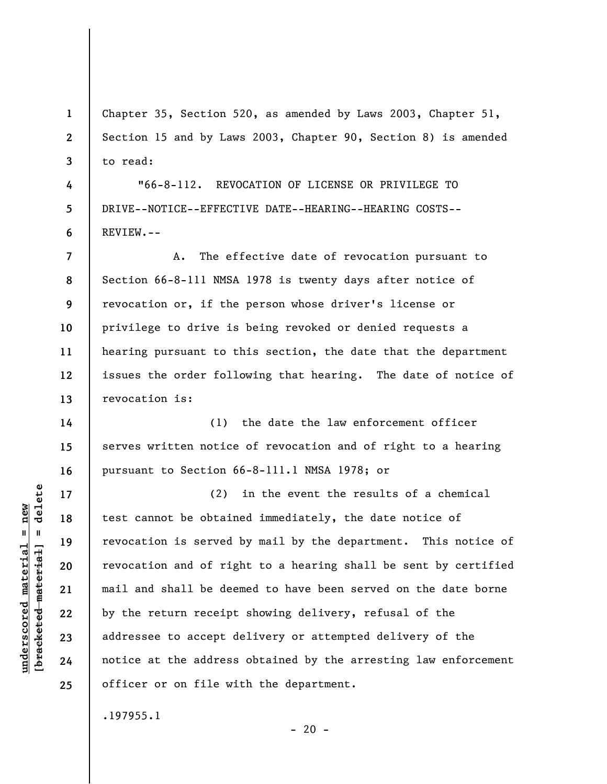**1 2 3**  Chapter 35, Section 520, as amended by Laws 2003, Chapter 51, Section 15 and by Laws 2003, Chapter 90, Section 8) is amended to read:

"66-8-112. REVOCATION OF LICENSE OR PRIVILEGE TO DRIVE--NOTICE--EFFECTIVE DATE--HEARING--HEARING COSTS-- REVIEW.--

**7 8 9 10 11 12 13**  A. The effective date of revocation pursuant to Section 66-8-111 NMSA 1978 is twenty days after notice of revocation or, if the person whose driver's license or privilege to drive is being revoked or denied requests a hearing pursuant to this section, the date that the department issues the order following that hearing. The date of notice of revocation is:

(1) the date the law enforcement officer serves written notice of revocation and of right to a hearing pursuant to Section 66-8-111.1 NMSA 1978; or

(2) in the event the results of a chemical test cannot be obtained immediately, the date notice of revocation is served by mail by the department. This notice of revocation and of right to a hearing shall be sent by certified mail and shall be deemed to have been served on the date borne by the return receipt showing delivery, refusal of the addressee to accept delivery or attempted delivery of the notice at the address obtained by the arresting law enforcement officer or on file with the department.

 $- 20 -$ 

.197955.1

delete **[bracketed material] = delete**  $underscored material = new$ **underscored material = new**  $\mathbf{I}$ bracketed material

**4** 

**5** 

**6** 

**14** 

**15** 

**16** 

**17** 

**18** 

**19** 

**20** 

**21** 

**22** 

**23** 

**24**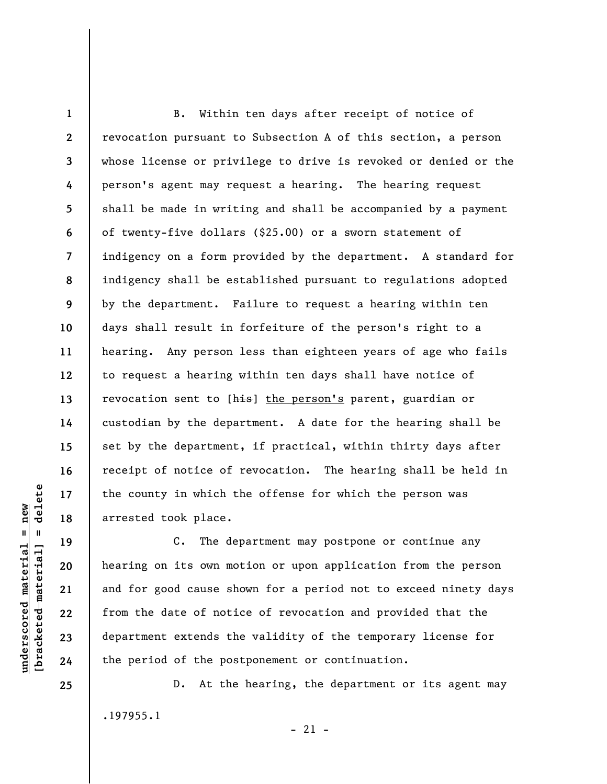**1 2 3 4 5 6 7 8 9 10 11 12 13 14 15 16 17 18**  B. Within ten days after receipt of notice of revocation pursuant to Subsection A of this section, a person whose license or privilege to drive is revoked or denied or the person's agent may request a hearing. The hearing request shall be made in writing and shall be accompanied by a payment of twenty-five dollars (\$25.00) or a sworn statement of indigency on a form provided by the department. A standard for indigency shall be established pursuant to regulations adopted by the department. Failure to request a hearing within ten days shall result in forfeiture of the person's right to a hearing. Any person less than eighteen years of age who fails to request a hearing within ten days shall have notice of revocation sent to [his] the person's parent, guardian or custodian by the department. A date for the hearing shall be set by the department, if practical, within thirty days after receipt of notice of revocation. The hearing shall be held in the county in which the offense for which the person was arrested took place.

C. The department may postpone or continue any hearing on its own motion or upon application from the person and for good cause shown for a period not to exceed ninety days from the date of notice of revocation and provided that the department extends the validity of the temporary license for the period of the postponement or continuation.

D. At the hearing, the department or its agent may .197955.1  $-21 -$ 

 $\frac{1}{2}$  intereted material = delete **[bracketed material] = delete**  $underscored material = new$ **underscored material = new**

**25** 

**19** 

**20** 

**21** 

**22** 

**23**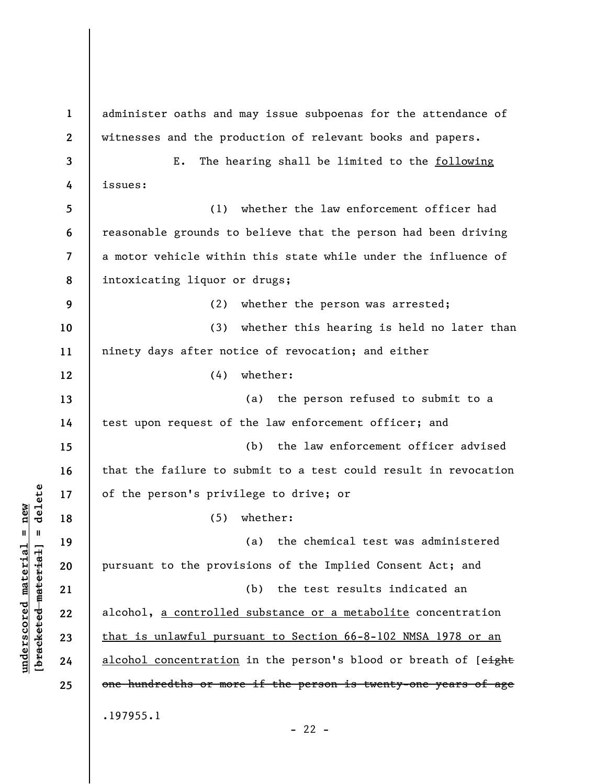**1 2 3 4 5 6 7 8 9 10 11 12 13 14 15 16 17 18 19 20 21 22 23 24 25**  administer oaths and may issue subpoenas for the attendance of witnesses and the production of relevant books and papers. E. The hearing shall be limited to the following issues: (1) whether the law enforcement officer had reasonable grounds to believe that the person had been driving a motor vehicle within this state while under the influence of intoxicating liquor or drugs; (2) whether the person was arrested; (3) whether this hearing is held no later than ninety days after notice of revocation; and either (4) whether: (a) the person refused to submit to a test upon request of the law enforcement officer; and (b) the law enforcement officer advised that the failure to submit to a test could result in revocation of the person's privilege to drive; or (5) whether: (a) the chemical test was administered pursuant to the provisions of the Implied Consent Act; and (b) the test results indicated an alcohol, a controlled substance or a metabolite concentration that is unlawful pursuant to Section 66-8-102 NMSA 1978 or an alcohol concentration in the person's blood or breath of [eight one hundredths or more if the person is twenty-one years of age .197955.1

**underscored material = new [bracketed material] = delete**

 $\frac{1}{2}$  bracketed material = delete  $underscored material = new$ 

 $- 22 -$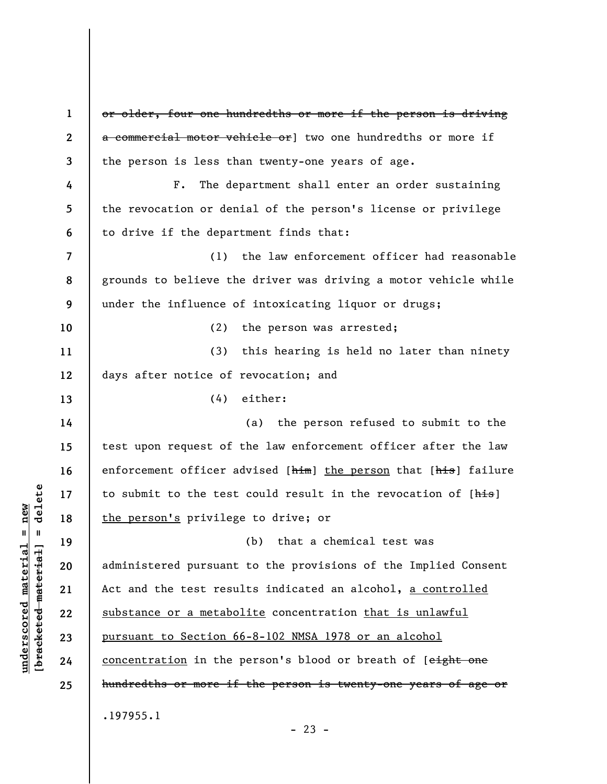**1 2 3 4 5 6 7 8 9 10 11 12 13 14 15 16 17 18 19 20 21 22 23 24 25**  or older, four one hundredths or more if the person is driving a commercial motor vehicle or vo one hundredths or more if the person is less than twenty-one years of age. F. The department shall enter an order sustaining the revocation or denial of the person's license or privilege to drive if the department finds that: (1) the law enforcement officer had reasonable grounds to believe the driver was driving a motor vehicle while under the influence of intoxicating liquor or drugs; (2) the person was arrested; (3) this hearing is held no later than ninety days after notice of revocation; and (4) either: (a) the person refused to submit to the test upon request of the law enforcement officer after the law enforcement officer advised [him] the person that [his] failure to submit to the test could result in the revocation of [his] the person's privilege to drive; or (b) that a chemical test was administered pursuant to the provisions of the Implied Consent Act and the test results indicated an alcohol, a controlled substance or a metabolite concentration that is unlawful pursuant to Section 66-8-102 NMSA 1978 or an alcohol concentration in the person's blood or breath of [eight one hundredths or more if the person is twenty-one years of age or .197955.1  $- 23 -$ 

**underscored material = new [bracketed material] = delete**

 $\frac{1}{2}$  intereted material = delete  $anderscored material = new$